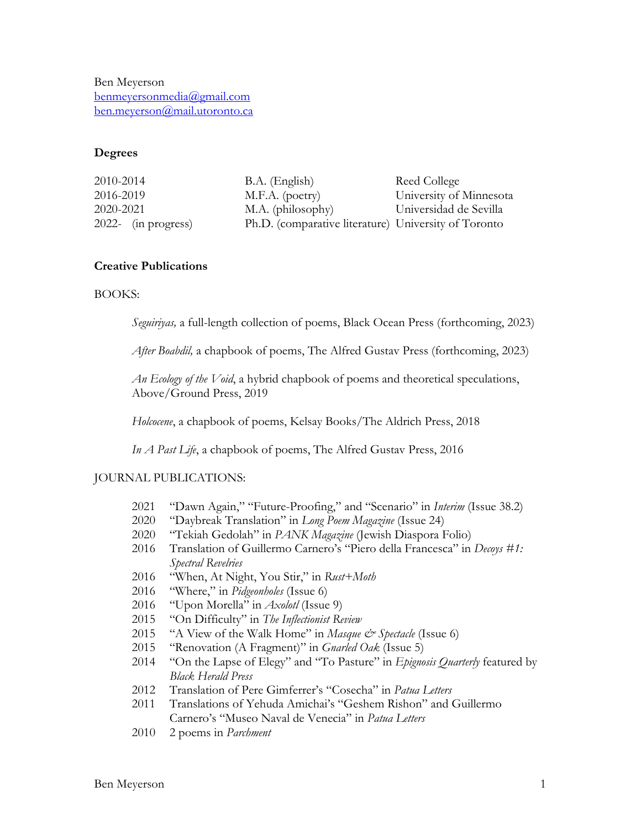Ben Meyerson benmeyersonmedia@gmail.com ben.meyerson@mail.utoronto.ca

# **Degrees**

| 2010-2014              | B.A. (English)                                       | Reed College            |
|------------------------|------------------------------------------------------|-------------------------|
| 2016-2019              | M.F.A. (poetry)                                      | University of Minnesota |
| 2020-2021              | M.A. (philosophy)                                    | Universidad de Sevilla  |
| $2022$ - (in progress) | Ph.D. (comparative literature) University of Toronto |                         |

# **Creative Publications**

## BOOKS:

*Seguiriyas,* a full-length collection of poems, Black Ocean Press (forthcoming, 2023)

*After Boabdil,* a chapbook of poems, The Alfred Gustav Press (forthcoming, 2023)

*An Ecology of the Void*, a hybrid chapbook of poems and theoretical speculations, Above/Ground Press, 2019

*Holcocene*, a chapbook of poems, Kelsay Books/The Aldrich Press, 2018

*In A Past Life*, a chapbook of poems, The Alfred Gustav Press, 2016

## JOURNAL PUBLICATIONS:

- 2021 "Dawn Again," "Future-Proofing," and "Scenario" in *Interim* (Issue 38.2)
- 2020 "Daybreak Translation" in *Long Poem Magazine* (Issue 24)
- 2020 "Tekiah Gedolah" in *PANK Magazine* (Jewish Diaspora Folio)
- 2016 Translation of Guillermo Carnero's "Piero della Francesca" in *Decoys #1: Spectral Revelries*
- 2016 "When, At Night, You Stir," in *Rust+Moth*
- 2016 "Where," in *Pidgeonholes* (Issue 6)
- 2016 "Upon Morella" in *Axolotl* (Issue 9)
- 2015 "On Difficulty" in *The Inflectionist Review*
- 2015 "A View of the Walk Home" in *Masque & Spectacle* (Issue 6)
- 2015 "Renovation (A Fragment)" in *Gnarled Oak* (Issue 5)
- 2014 "On the Lapse of Elegy" and "To Pasture" in *Epignosis Quarterly* featured by *Black Herald Press*
- 2012 Translation of Pere Gimferrer's "Cosecha" in *Patua Letters*
- 2011 Translations of Yehuda Amichai's "Geshem Rishon" and Guillermo Carnero's "Museo Naval de Venecia" in *Patua Letters*
- 2010 2 poems in *Parchment*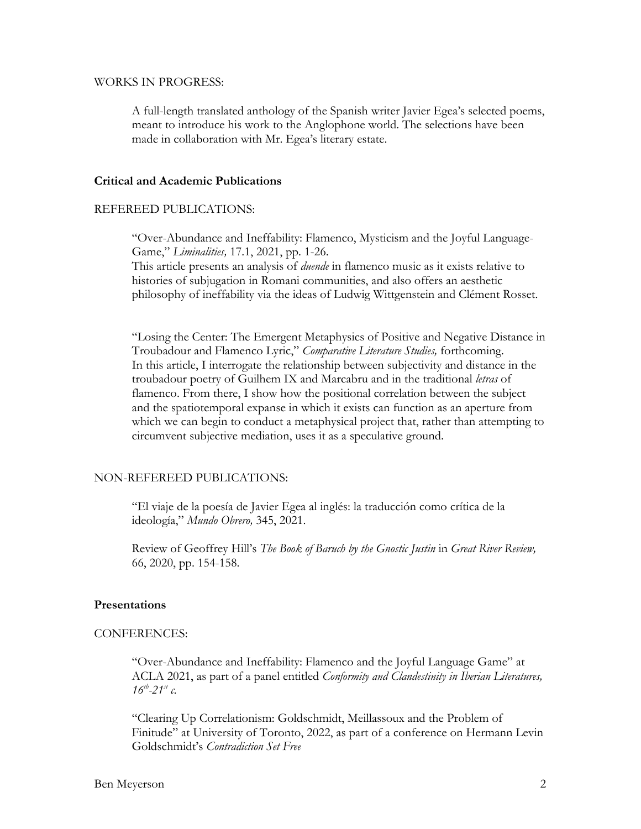#### WORKS IN PROGRESS:

A full-length translated anthology of the Spanish writer Javier Egea's selected poems, meant to introduce his work to the Anglophone world. The selections have been made in collaboration with Mr. Egea's literary estate.

## **Critical and Academic Publications**

## REFEREED PUBLICATIONS:

"Over-Abundance and Ineffability: Flamenco, Mysticism and the Joyful Language-Game," *Liminalities,* 17.1, 2021, pp. 1-26.

This article presents an analysis of *duende* in flamenco music as it exists relative to histories of subjugation in Romani communities, and also offers an aesthetic philosophy of ineffability via the ideas of Ludwig Wittgenstein and Clément Rosset.

"Losing the Center: The Emergent Metaphysics of Positive and Negative Distance in Troubadour and Flamenco Lyric," *Comparative Literature Studies,* forthcoming. In this article, I interrogate the relationship between subjectivity and distance in the troubadour poetry of Guilhem IX and Marcabru and in the traditional *letras* of flamenco. From there, I show how the positional correlation between the subject and the spatiotemporal expanse in which it exists can function as an aperture from which we can begin to conduct a metaphysical project that, rather than attempting to circumvent subjective mediation, uses it as a speculative ground.

## NON-REFEREED PUBLICATIONS:

"El viaje de la poesía de Javier Egea al inglés: la traducción como crítica de la ideología," *Mundo Obrero,* 345, 2021.

Review of Geoffrey Hill's *The Book of Baruch by the Gnostic Justin* in *Great River Review,*  66, 2020, pp. 154-158.

#### **Presentations**

#### CONFERENCES:

"Over-Abundance and Ineffability: Flamenco and the Joyful Language Game" at ACLA 2021, as part of a panel entitled *Conformity and Clandestinity in Iberian Literatures,*   $16^{th} - 21^{st}$  *c*.

"Clearing Up Correlationism: Goldschmidt, Meillassoux and the Problem of Finitude" at University of Toronto, 2022, as part of a conference on Hermann Levin Goldschmidt's *Contradiction Set Free*